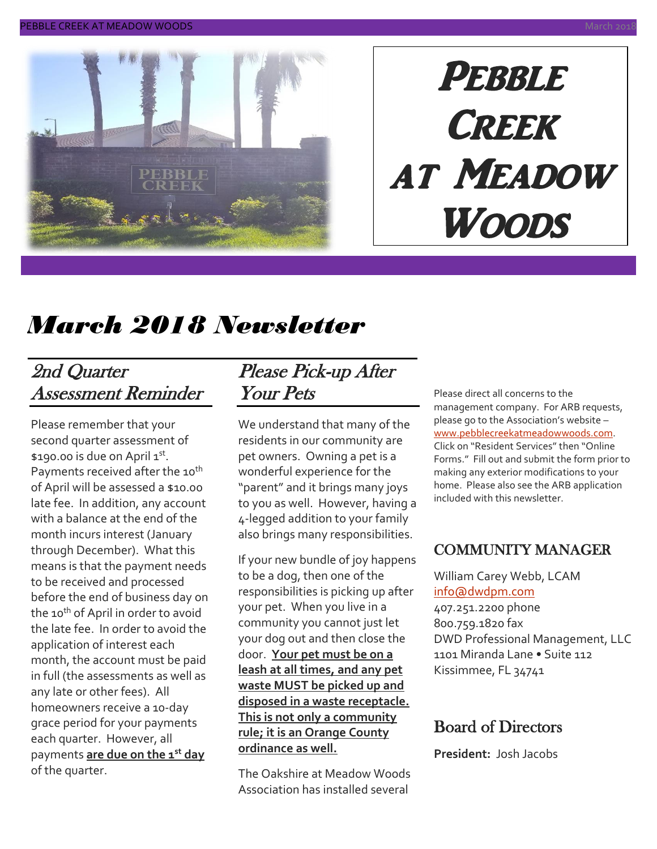

# **PEBBLE CREEK** at Meadow Woods

# *March 2018 Newsletter*

# 2nd Quarter Assessment Reminder

Please remember that your second quarter assessment of \$190.00 is due on April 1st. Payments received after the 10<sup>th</sup> of April will be assessed a \$10.00 late fee. In addition, any account with a balance at the end of the month incurs interest (January through December). What this means is that the payment needs to be received and processed before the end of business day on the 10<sup>th</sup> of April in order to avoid the late fee. In order to avoid the application of interest each month, the account must be paid in full (the assessments as well as any late or other fees). All homeowners receive a 10-day grace period for your payments each quarter. However, all payments **are due on the 1st day** of the quarter.

# Please Pick-up After Your Pets

We understand that many of the residents in our community are pet owners. Owning a pet is a wonderful experience for the "parent" and it brings many joys to you as well. However, having a 4-legged addition to your family also brings many responsibilities.

If your new bundle of joy happens to be a dog, then one of the responsibilities is picking up after your pet. When you live in a community you cannot just let your dog out and then close the door. **Your pet must be on a leash at all times, and any pet waste MUST be picked up and disposed in a waste receptacle. This is not only a community rule; it is an Orange County ordinance as well.**

The Oakshire at Meadow Woods Association has installed several

Please direct all concerns to the management company. For ARB requests, please go to the Association's website – [www.pebblecreekatmeadowwoods.com.](http://www.pebblecreekatmeadowwoods.com/) Click on "Resident Services" then "Online Forms." Fill out and submit the form prior to making any exterior modifications to your home. Please also see the ARB application included with this newsletter.

### COMMUNITY MANAGER

William Carey Webb, LCAM [info@dwdpm.com](mailto:info@dwdpm.com)  407.251.2200 phone 800.759.1820 fax DWD Professional Management, LLC 1101 Miranda Lane • Suite 112 Kissimmee, FL 34741

### Board of Directors

**President:** Josh Jacobs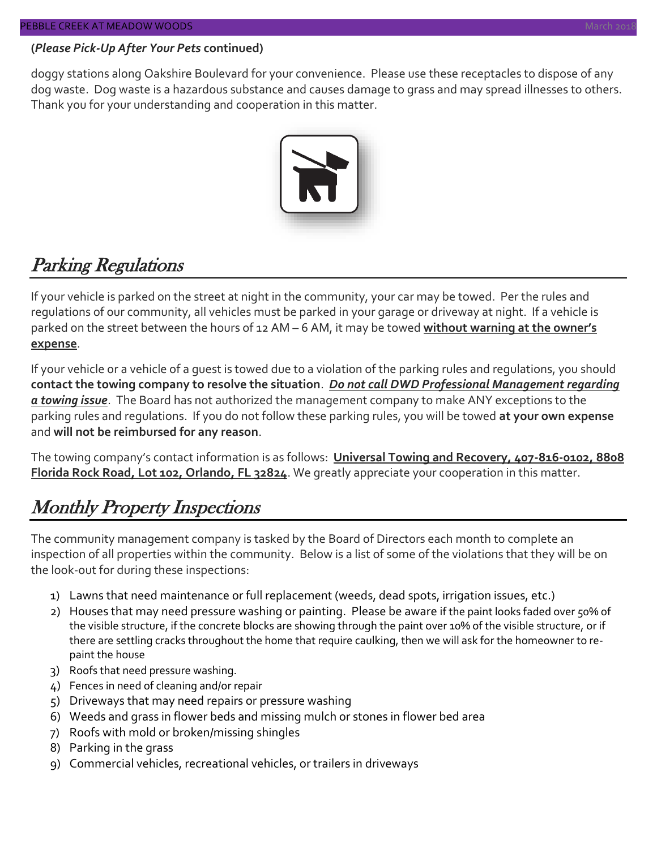#### **(***Please Pick-Up After Your Pets* **continued)**

doggy stations along Oakshire Boulevard for your convenience. Please use these receptacles to dispose of any dog waste. Dog waste is a hazardous substance and causes damage to grass and may spread illnesses to others. Thank you for your understanding and cooperation in this matter.



# Parking Regulations

If your vehicle is parked on the street at night in the community, your car may be towed. Per the rules and regulations of our community, all vehicles must be parked in your garage or driveway at night. If a vehicle is parked on the street between the hours of 12 AM – 6 AM, it may be towed **without warning at the owner's expense**.

If your vehicle or a vehicle of a guest is towed due to a violation of the parking rules and regulations, you should **contact the towing company to resolve the situation**. *Do not call DWD Professional Management regarding a towing issue*. The Board has not authorized the management company to make ANY exceptions to the parking rules and regulations. If you do not follow these parking rules, you will be towed **at your own expense** and **will not be reimbursed for any reason**.

The towing company's contact information is as follows: **Universal Towing and Recovery, 407-816-0102, 8808 Florida Rock Road, Lot 102, Orlando, FL 32824**. We greatly appreciate your cooperation in this matter.

# Monthly Property Inspections

The community management company is tasked by the Board of Directors each month to complete an inspection of all properties within the community. Below is a list of some of the violations that they will be on the look-out for during these inspections:

- 1) Lawns that need maintenance or full replacement (weeds, dead spots, irrigation issues, etc.)
- 2) Houses that may need pressure washing or painting. Please be aware if the paint looks faded over 50% of the visible structure, if the concrete blocks are showing through the paint over 10% of the visible structure, or if there are settling cracks throughout the home that require caulking, then we will ask for the homeowner to repaint the house
- 3) Roofs that need pressure washing.
- 4) Fences in need of cleaning and/or repair
- 5) Driveways that may need repairs or pressure washing
- 6) Weeds and grass in flower beds and missing mulch or stones in flower bed area
- 7) Roofs with mold or broken/missing shingles
- 8) Parking in the grass
- 9) Commercial vehicles, recreational vehicles, or trailers in driveways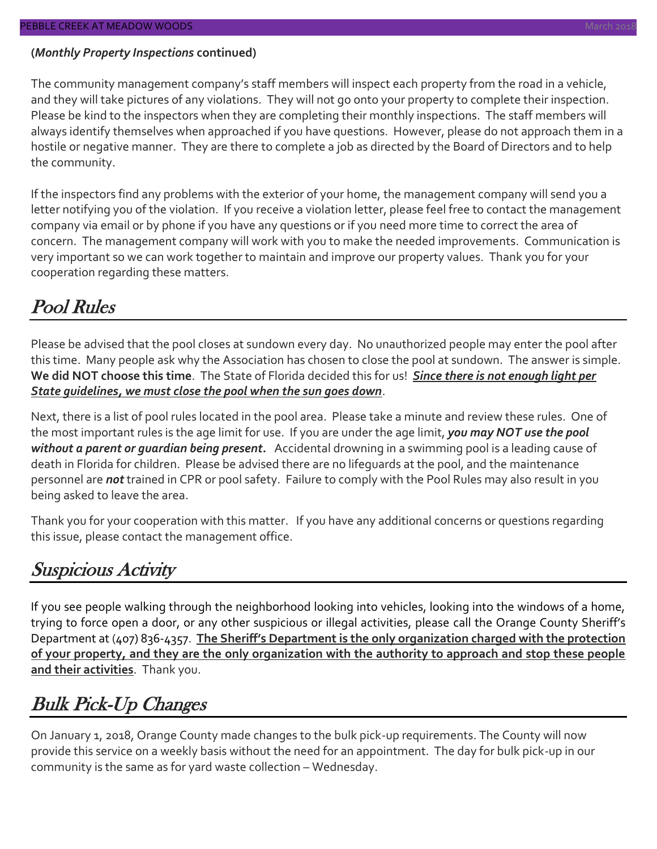#### **(***Monthly Property Inspections* **continued)**

The community management company's staff members will inspect each property from the road in a vehicle, and they will take pictures of any violations. They will not go onto your property to complete their inspection. Please be kind to the inspectors when they are completing their monthly inspections. The staff members will always identify themselves when approached if you have questions. However, please do not approach them in a hostile or negative manner. They are there to complete a job as directed by the Board of Directors and to help the community.

If the inspectors find any problems with the exterior of your home, the management company will send you a letter notifying you of the violation. If you receive a violation letter, please feel free to contact the management company via email or by phone if you have any questions or if you need more time to correct the area of concern. The management company will work with you to make the needed improvements. Communication is very important so we can work together to maintain and improve our property values. Thank you for your cooperation regarding these matters.

# Pool Rules

Please be advised that the pool closes at sundown every day. No unauthorized people may enter the pool after this time. Many people ask why the Association has chosen to close the pool at sundown. The answer is simple. **We did NOT choose this time**. The State of Florida decided this for us! *Since there is not enough light per State guidelines, we must close the pool when the sun goes down*.

Next, there is a list of pool rules located in the pool area. Please take a minute and review these rules. One of the most important rules is the age limit for use. If you are under the age limit, *you may NOT use the pool without a parent or guardian being present.* Accidental drowning in a swimming pool is a leading cause of death in Florida for children. Please be advised there are no lifeguards at the pool, and the maintenance personnel are *not* trained in CPR or pool safety. Failure to comply with the Pool Rules may also result in you being asked to leave the area.

Thank you for your cooperation with this matter. If you have any additional concerns or questions regarding this issue, please contact the management office.

# Suspicious Activity

If you see people walking through the neighborhood looking into vehicles, looking into the windows of a home, trying to force open a door, or any other suspicious or illegal activities, please call the Orange County Sheriff's Department at (407) 836-4357. **The Sheriff's Department is the only organization charged with the protection of your property, and they are the only organization with the authority to approach and stop these people and their activities**. Thank you.

# Bulk Pick-Up Changes

On January 1, 2018, Orange County made changes to the bulk pick-up requirements. The County will now provide this service on a weekly basis without the need for an appointment. The day for bulk pick-up in our community is the same as for yard waste collection – Wednesday.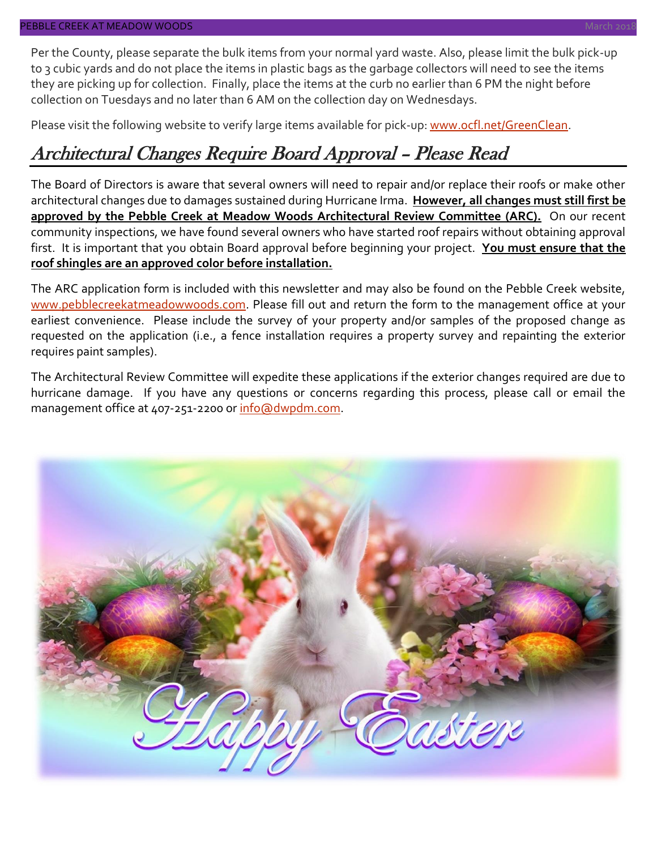Per the County, please separate the bulk items from your normal yard waste. Also, please limit the bulk pick-up to 3 cubic yards and do not place the items in plastic bags as the garbage collectors will need to see the items they are picking up for collection. Finally, place the items at the curb no earlier than 6 PM the night before collection on Tuesdays and no later than 6 AM on the collection day on Wednesdays.

Please visit the following website to verify large items available for pick-up: [www.ocfl.net/GreenClean.](http://www.ocfl.net/GreenClean)

# Architectural Changes Require Board Approval – Please Read

The Board of Directors is aware that several owners will need to repair and/or replace their roofs or make other architectural changes due to damages sustained during Hurricane Irma. **However, all changes must still first be approved by the Pebble Creek at Meadow Woods Architectural Review Committee (ARC).** On our recent community inspections, we have found several owners who have started roof repairs without obtaining approval first. It is important that you obtain Board approval before beginning your project. **You must ensure that the roof shingles are an approved color before installation.**

The ARC application form is included with this newsletter and may also be found on the Pebble Creek website, [www.pebblecreekatmeadowwoods.com.](http://www.pebblecreekatmeadowwoods.com/) Please fill out and return the form to the management office at your earliest convenience. Please include the survey of your property and/or samples of the proposed change as requested on the application (i.e., a fence installation requires a property survey and repainting the exterior requires paint samples).

The Architectural Review Committee will expedite these applications if the exterior changes required are due to hurricane damage. If you have any questions or concerns regarding this process, please call or email the management office at 407-251-2200 or [info@dwpdm.com.](mailto:info@dwpdm.com)

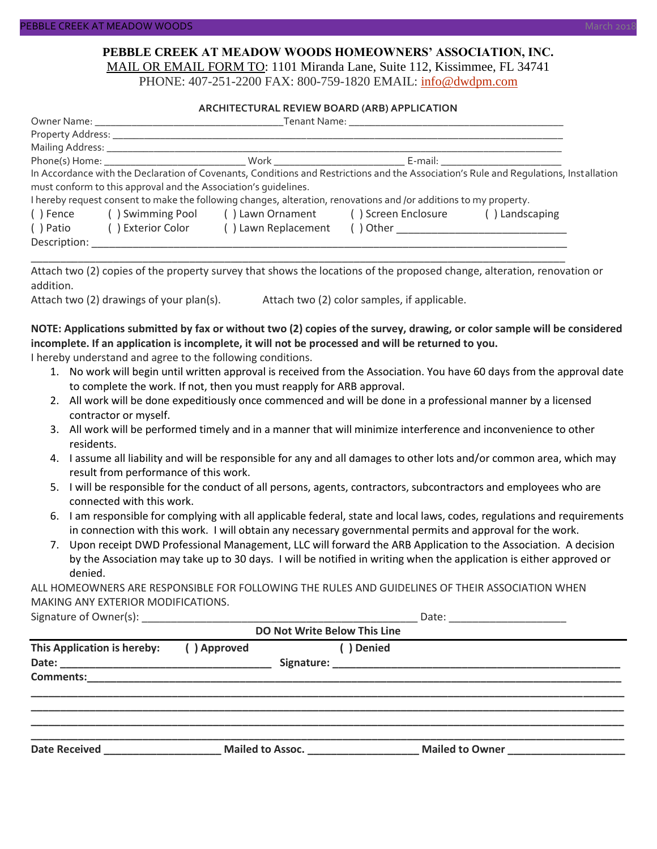#### **PEBBLE CREEK AT MEADOW WOODS HOMEOWNERS' ASSOCIATION, INC.** MAIL OR EMAIL FORM TO: 1101 Miranda Lane, Suite 112, Kissimmee, FL 34741

PHONE: 407-251-2200 FAX: 800-759-1820 EMAIL: [info@dwdpm.com](mailto:info@dwdpm.com)

#### **ARCHITECTURAL REVIEW BOARD (ARB) APPLICATION**

|                                                                                                                   | <b>Tenant Name:</b> The contract of the contract of the contract of the contract of the contract of the contract of the contract of the contract of the contract of the contract of the contract of the contract of the contract of |                                                       |  |                                                                                                                                       |  |  |  |
|-------------------------------------------------------------------------------------------------------------------|-------------------------------------------------------------------------------------------------------------------------------------------------------------------------------------------------------------------------------------|-------------------------------------------------------|--|---------------------------------------------------------------------------------------------------------------------------------------|--|--|--|
|                                                                                                                   |                                                                                                                                                                                                                                     |                                                       |  |                                                                                                                                       |  |  |  |
|                                                                                                                   |                                                                                                                                                                                                                                     |                                                       |  |                                                                                                                                       |  |  |  |
|                                                                                                                   |                                                                                                                                                                                                                                     |                                                       |  |                                                                                                                                       |  |  |  |
|                                                                                                                   |                                                                                                                                                                                                                                     |                                                       |  | In Accordance with the Declaration of Covenants, Conditions and Restrictions and the Association's Rule and Regulations, Installation |  |  |  |
|                                                                                                                   | must conform to this approval and the Association's quidelines.                                                                                                                                                                     |                                                       |  |                                                                                                                                       |  |  |  |
| I hereby request consent to make the following changes, alteration, renovations and /or additions to my property. |                                                                                                                                                                                                                                     |                                                       |  |                                                                                                                                       |  |  |  |
| () Fence                                                                                                          |                                                                                                                                                                                                                                     | () Swimming Pool () Lawn Ornament () Screen Enclosure |  | () Landscaping                                                                                                                        |  |  |  |
| ( ) Patio                                                                                                         | ( ) Exterior Color                                                                                                                                                                                                                  | () Lawn Replacement                                   |  |                                                                                                                                       |  |  |  |
| Description:                                                                                                      |                                                                                                                                                                                                                                     |                                                       |  |                                                                                                                                       |  |  |  |

Attach two (2) copies of the property survey that shows the locations of the proposed change, alteration, renovation or addition.

\_\_\_\_\_\_\_\_\_\_\_\_\_\_\_\_\_\_\_\_\_\_\_\_\_\_\_\_\_\_\_\_\_\_\_\_\_\_\_\_\_\_\_\_\_\_\_\_\_\_\_\_\_\_\_\_\_\_\_\_\_\_\_\_\_\_\_\_\_\_\_\_\_\_\_\_\_\_\_\_\_\_\_\_\_\_\_\_\_\_\_

Attach two (2) drawings of your plan(s). Attach two (2) color samples, if applicable.

#### **NOTE: Applications submitted by fax or without two (2) copies of the survey, drawing, or color sample will be considered incomplete. If an application is incomplete, it will not be processed and will be returned to you.**

I hereby understand and agree to the following conditions.

- 1. No work will begin until written approval is received from the Association. You have 60 days from the approval date to complete the work. If not, then you must reapply for ARB approval.
- 2. All work will be done expeditiously once commenced and will be done in a professional manner by a licensed contractor or myself.
- 3. All work will be performed timely and in a manner that will minimize interference and inconvenience to other residents.
- 4. I assume all liability and will be responsible for any and all damages to other lots and/or common area, which may result from performance of this work.
- 5. I will be responsible for the conduct of all persons, agents, contractors, subcontractors and employees who are connected with this work.
- 6. I am responsible for complying with all applicable federal, state and local laws, codes, regulations and requirements in connection with this work. I will obtain any necessary governmental permits and approval for the work.
- 7. Upon receipt DWD Professional Management, LLC will forward the ARB Application to the Association. A decision by the Association may take up to 30 days. I will be notified in writing when the application is either approved or denied.

ALL HOMEOWNERS ARE RESPONSIBLE FOR FOLLOWING THE RULES AND GUIDELINES OF THEIR ASSOCIATION WHEN MAKING ANY EXTERIOR MODIFICATIONS.

Signature of Owner(s):  $\Box$ 

| <b>DO Not Write Below This Line</b> |             |                  |                 |  |  |  |  |  |
|-------------------------------------|-------------|------------------|-----------------|--|--|--|--|--|
| This Application is hereby:         | () Approved | Denied           |                 |  |  |  |  |  |
| <b>Comments:</b>                    |             |                  |                 |  |  |  |  |  |
| <b>Date Received</b>                |             | Mailed to Assoc. | Mailed to Owner |  |  |  |  |  |